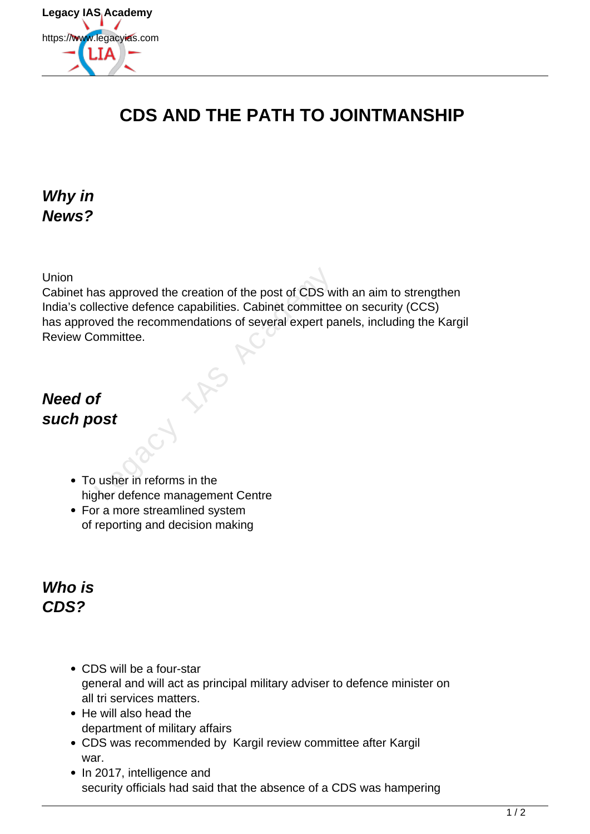

# **CDS AND THE PATH TO JOINTMANSHIP**

#### **Why in News?**

Union

Cabinet has approved the creation of the post of CDS with an aim to strengthen India's collective defence capabilities. Cabinet committee on security (CCS) has approved the recommendations of several expert panels, including the Kargil Review Committee. France approved the creation of the post of CDS we<br>detective defence capabilities. Cabinet committed<br>ved the recommendations of several expert parametrities.<br>ommittee.<br>**France COST** 

### **Need of such post**

- To usher in reforms in the higher defence management Centre
- For a more streamlined system of reporting and decision making

#### **Who is CDS?**

- CDS will be a four-star general and will act as principal military adviser to defence minister on all tri services matters.
- He will also head the department of military affairs
- CDS was recommended by Kargil review committee after Kargil war.
- In 2017, intelligence and security officials had said that the absence of a CDS was hampering